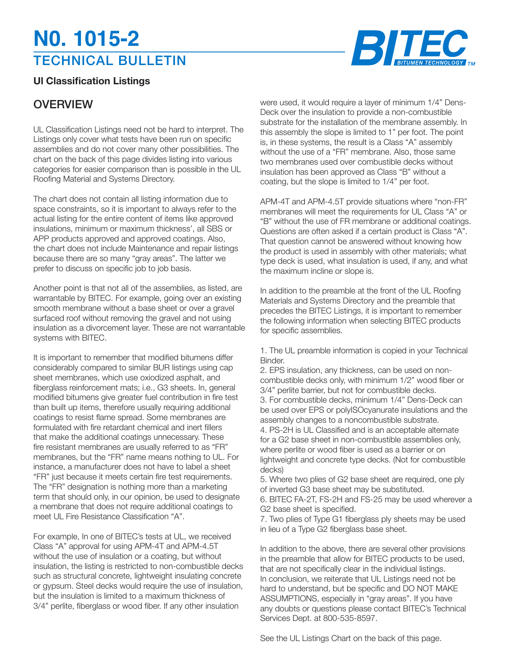## TECHNICAL BULLETIN **N0. 1015-2**



## **Ul Classification Listings**

## **OVERVIEW**

UL Classification Listings need not be hard to interpret. The Listings only cover what tests have been run on specific assemblies and do not cover many other possibilities. The chart on the back of this page divides listing into various categories for easier comparison than is possible in the UL Roofing Material and Systems Directory.

The chart does not contain all listing information due to space constraints, so it is important to always refer to the actual listing for the entire content of items like approved insulations, minimum or maximum thickness', all SBS or APP products approved and approved coatings. Also, the chart does not include Maintenance and repair listings because there are so many "gray areas". The latter we prefer to discuss on specific job to job basis.

Another point is that not all of the assemblies, as listed, are warrantable by BITEC. For example, going over an existing smooth membrane without a base sheet or over a gravel surfaced roof without removing the gravel and not using insulation as a divorcement layer. These are not warrantable systems with BITEC.

It is important to remember that modified bitumens differ considerably compared to similar BUR listings using cap sheet membranes, which use oxiodized asphalt, and fiberglass reinforcement mats; i.e., G3 sheets. In, general modified bitumens give greater fuel contribution in fire test than built up items, therefore usually requiring additional coatings to resist flame spread. Some membranes are formulated with fire retardant chemical and inert fillers that make the additional coatings unnecessary. These fire resistant membranes are usually referred to as "FR" membranes, but the "FR" name means nothing to UL. For instance, a manufacturer does not have to label a sheet "FR" just because it meets certain fire test requirements. The "FR" designation is nothing more than a marketing term that should only, in our opinion, be used to designate a membrane that does not require additional coatings to meet UL Fire Resistance Classification "A"

For example, In one of BITEC's tests at UL, we received Class "A" approval for using APM-4T and APM-4.5T without the use of insulation or a coating, but without insulation, the listing is restricted to non-combustible decks such as structural concrete, lightweight insulating concrete or gypsum. Steel decks would require the use of insulation, but the insulation is limited to a maximum thickness of 3/4" perlite, fiberglass or wood fiber. If any other insulation

were used, it would require a layer of minimum 1/4" Dens-Deck over the insulation to provide a non-combustible substrate for the installation of the membrane assembly. In this assembly the slope is limited to 1" per foot. The point is, in these systems, the result is a Class "A" assembly without the use of a "FR" membrane. Also, those same two membranes used over combustible decks without insulation has been approved as Class "B" without a coating, but the slope is limited to 1/4" per foot.

APM-4T and APM-4.5T provide situations where "non-FR" membranes will meet the requirements for UL Class "A" or "B" without the use of FR membrane or additional coatings. Questions are often asked if a certain product is Class "A". That question cannot be answered without knowing how the product is used in assembly with other materials; what type deck is used, what insulation is used, if any, and what the maximum incline or slope is.

In addition to the preamble at the front of the UL Roofing Materials and Systems Directory and the preamble that precedes the BITEC Listings, it is important to remember the following information when selecting BITEC products for specific assemblies.

1. The UL preamble information is copied in your Technical Binder.

2. EPS insulation, any thickness, can be used on noncombustible decks only, with minimum 1/2" wood fiber or 3/4" perlite barrier, but not for combustible decks. 3. For combustible decks, minimum 1/4" Dens-Deck can be used over EPS or polyISOcyanurate insulations and the assembly changes to a noncombustible substrate. 4. PS-2H is UL Classified and is an acceptable alternate for a G2 base sheet in non-combustible assemblies only, where perlite or wood fiber is used as a barrier or on lightweight and concrete type decks. (Not for combustible decks)

5. Where two plies of G2 base sheet are required, one ply of inverted G3 base sheet may be substituted. 6. BITEC FA-2T, FS-2H and FS-25 may be used wherever a G2 base sheet is specified.

7. Two plies of Type G1 fiberglass ply sheets may be used in lieu of a Type G2 fiberglass base sheet.

In addition to the above, there are several other provisions in the preamble that allow for BITEC products to be used, that are not specifically clear in the individual listings. In conclusion, we reiterate that UL Listings need not be hard to understand, but be specific and DO NOT MAKE ASSUMPTIONS, especially in "gray areas". If you have any doubts or questions please contact BITEC's Technical Services Dept. at 800-535-8597.

See the UL Listings Chart on the back of this page.